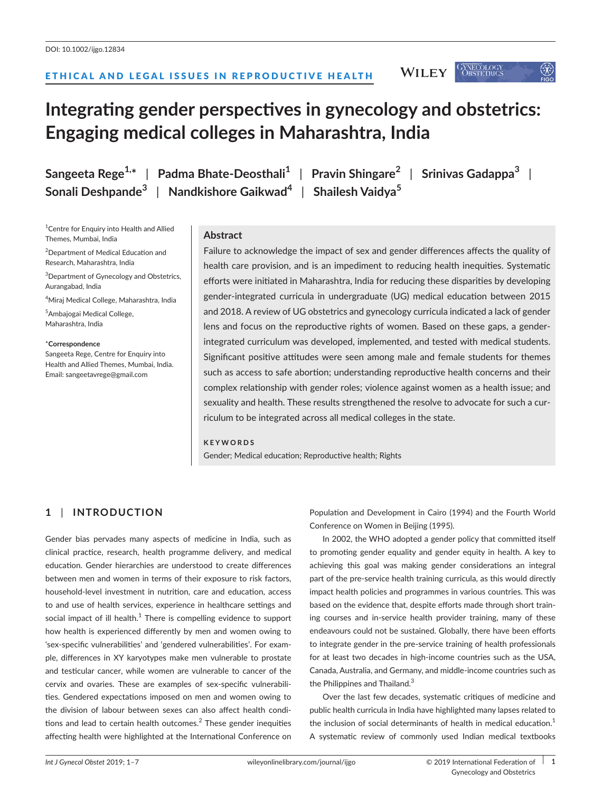ETHICAL AND LEGAL ISSUES IN REPRODUCTIVE HEALTH

# **Integrating gender perspectives in gynecology and obstetrics: Engaging medical colleges in Maharashtra, India**

**Sangeeta Rege1,\*** | **Padma Bhate-Deosthali<sup>1</sup>** | **Pravin Shingare<sup>2</sup>** | **Srinivas Gadappa<sup>3</sup>** | **Sonali Deshpande<sup>3</sup>** | **Nandkishore Gaikwad<sup>4</sup>** | **Shailesh Vaidya<sup>5</sup>**

<sup>1</sup> Centre for Enquiry into Health and Allied Themes, Mumbai, India

<sup>2</sup>Department of Medical Education and Research, Maharashtra, India

<sup>3</sup>Department of Gynecology and Obstetrics, Aurangabad, India

4 Miraj Medical College, Maharashtra, India

5 Ambajogai Medical College, Maharashtra, India

#### \***Correspondence**

Sangeeta Rege, Centre for Enquiry into Health and Allied Themes, Mumbai, India. Email: [sangeetavrege@gmail.com](mailto:sangeetavrege@gmail.com)

## **Abstract**

Failure to acknowledge the impact of sex and gender differences affects the quality of health care provision, and is an impediment to reducing health inequities. Systematic efforts were initiated in Maharashtra, India for reducing these disparities by developing gender-integrated curricula in undergraduate (UG) medical education between 2015 and 2018. A review of UG obstetrics and gynecology curricula indicated a lack of gender lens and focus on the reproductive rights of women. Based on these gaps, a genderintegrated curriculum was developed, implemented, and tested with medical students. Significant positive attitudes were seen among male and female students for themes such as access to safe abortion; understanding reproductive health concerns and their complex relationship with gender roles; violence against women as a health issue; and sexuality and health. These results strengthened the resolve to advocate for such a curriculum to be integrated across all medical colleges in the state.

## **KEYWORDS**

Gender; Medical education; Reproductive health; Rights

# **1** | **INTRODUCTION**

Gender bias pervades many aspects of medicine in India, such as clinical practice, research, health programme delivery, and medical education. Gender hierarchies are understood to create differences between men and women in terms of their exposure to risk factors, household-level investment in nutrition, care and education, access to and use of health services, experience in healthcare settings and social impact of ill health. $^{\rm 1}$  There is compelling evidence to support how health is experienced differently by men and women owing to 'sex-specific vulnerabilities' and 'gendered vulnerabilities'. For example, differences in XY karyotypes make men vulnerable to prostate and testicular cancer, while women are vulnerable to cancer of the cervix and ovaries. These are examples of sex-specific vulnerabilities. Gendered expectations imposed on men and women owing to the division of labour between sexes can also affect health conditions and lead to certain health outcomes. $<sup>2</sup>$  These gender inequities</sup> affecting health were highlighted at the International Conference on

Population and Development in Cairo (1994) and the Fourth World Conference on Women in Beijing (1995).

In 2002, the WHO adopted a gender policy that committed itself to promoting gender equality and gender equity in health. A key to achieving this goal was making gender considerations an integral part of the pre-service health training curricula, as this would directly impact health policies and programmes in various countries. This was based on the evidence that, despite efforts made through short training courses and in-service health provider training, many of these endeavours could not be sustained. Globally, there have been efforts to integrate gender in the pre-service training of health professionals for at least two decades in high-income countries such as the USA, Canada, Australia, and Germany, and middle-income countries such as the Philippines and Thailand.<sup>3</sup>

Over the last few decades, systematic critiques of medicine and public health curricula in India have highlighted many lapses related to the inclusion of social determinants of health in medical education.<sup>1</sup> A systematic review of commonly used Indian medical textbooks

**WILEY** 

GYNECOLOGY<br>Obstetrics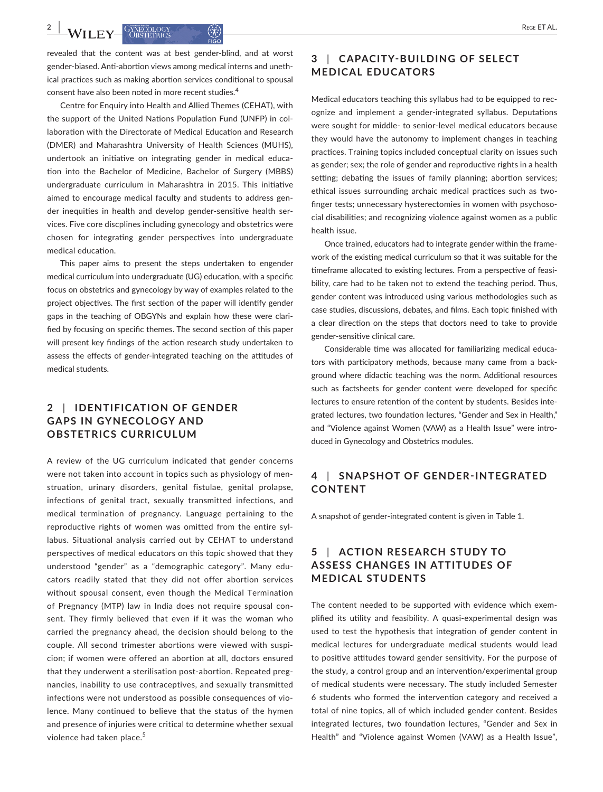$-WII$   $\mathbf{F} = \begin{bmatrix} GNECOLOGN & GN \\ ORSTFTBICS & GN \end{bmatrix}$ 

revealed that the content was at best gender-blind, and at worst gender-biased. Anti-abortion views among medical interns and unethical practices such as making abortion services conditional to spousal consent have also been noted in more recent studies.<sup>4</sup>

Centre for Enquiry into Health and Allied Themes (CEHAT), with the support of the United Nations Population Fund (UNFP) in collaboration with the Directorate of Medical Education and Research (DMER) and Maharashtra University of Health Sciences (MUHS), undertook an initiative on integrating gender in medical education into the Bachelor of Medicine, Bachelor of Surgery (MBBS) undergraduate curriculum in Maharashtra in 2015. This initiative aimed to encourage medical faculty and students to address gender inequities in health and develop gender-sensitive health services. Five core discplines including gynecology and obstetrics were chosen for integrating gender perspectives into undergraduate medical education.

This paper aims to present the steps undertaken to engender medical curriculum into undergraduate (UG) education, with a specific focus on obstetrics and gynecology by way of examples related to the project objectives. The first section of the paper will identify gender gaps in the teaching of OBGYNs and explain how these were clarified by focusing on specific themes. The second section of this paper will present key findings of the action research study undertaken to assess the effects of gender-integrated teaching on the attitudes of medical students.

# **2** | **IDENTIFICATION OF GENDER GAPS IN GYNECOLOGY AND OBSTETRICS CURRICULUM**

A review of the UG curriculum indicated that gender concerns were not taken into account in topics such as physiology of menstruation, urinary disorders, genital fistulae, genital prolapse, infections of genital tract, sexually transmitted infections, and medical termination of pregnancy. Language pertaining to the reproductive rights of women was omitted from the entire syllabus. Situational analysis carried out by CEHAT to understand perspectives of medical educators on this topic showed that they understood "gender" as a "demographic category". Many educators readily stated that they did not offer abortion services without spousal consent, even though the Medical Termination of Pregnancy (MTP) law in India does not require spousal consent. They firmly believed that even if it was the woman who carried the pregnancy ahead, the decision should belong to the couple. All second trimester abortions were viewed with suspicion; if women were offered an abortion at all, doctors ensured that they underwent a sterilisation post-abortion. Repeated pregnancies, inability to use contraceptives, and sexually transmitted infections were not understood as possible consequences of violence. Many continued to believe that the status of the hymen and presence of injuries were critical to determine whether sexual violence had taken place.<sup>5</sup>

# **3** | **CAPACITY-BUILDING OF SELECT MEDICAL EDUCATORS**

Medical educators teaching this syllabus had to be equipped to recognize and implement a gender-integrated syllabus. Deputations were sought for middle- to senior-level medical educators because they would have the autonomy to implement changes in teaching practices. Training topics included conceptual clarity on issues such as gender; sex; the role of gender and reproductive rights in a health setting; debating the issues of family planning; abortion services; ethical issues surrounding archaic medical practices such as twofinger tests; unnecessary hysterectomies in women with psychosocial disabilities; and recognizing violence against women as a public health issue.

Once trained, educators had to integrate gender within the framework of the existing medical curriculum so that it was suitable for the timeframe allocated to existing lectures. From a perspective of feasibility, care had to be taken not to extend the teaching period. Thus, gender content was introduced using various methodologies such as case studies, discussions, debates, and films. Each topic finished with a clear direction on the steps that doctors need to take to provide gender-sensitive clinical care.

Considerable time was allocated for familiarizing medical educators with participatory methods, because many came from a background where didactic teaching was the norm. Additional resources such as factsheets for gender content were developed for specific lectures to ensure retention of the content by students. Besides integrated lectures, two foundation lectures, "Gender and Sex in Health," and "Violence against Women (VAW) as a Health Issue" were introduced in Gynecology and Obstetrics modules.

# **4** | **SNAPSHOT OF GENDER-INTEGRATED CONTENT**

A snapshot of gender-integrated content is given in Table 1.

# **5** | **ACTION RESEARCH STUDY TO ASSESS CHANGES IN ATTITUDES OF MEDICAL STUDENTS**

The content needed to be supported with evidence which exemplified its utility and feasibility. A quasi-experimental design was used to test the hypothesis that integration of gender content in medical lectures for undergraduate medical students would lead to positive attitudes toward gender sensitivity. For the purpose of the study, a control group and an intervention/experimental group of medical students were necessary. The study included Semester 6 students who formed the intervention category and received a total of nine topics, all of which included gender content. Besides integrated lectures, two foundation lectures, "Gender and Sex in Health" and "Violence against Women (VAW) as a Health Issue",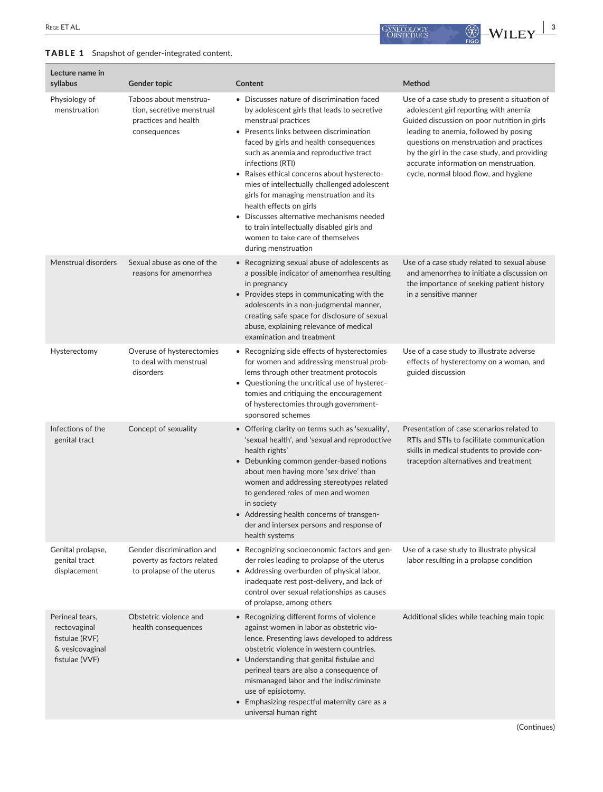## TABLE 1 Snapshot of gender-integrated content.



| Lecture name in<br>syllabus                                                            | Gender topic                                                                                | Content                                                                                                                                                                                                                                                                                                                                                                                                                                                                                                                                                                                       | Method                                                                                                                                                                                                                                                                                                                                                       |
|----------------------------------------------------------------------------------------|---------------------------------------------------------------------------------------------|-----------------------------------------------------------------------------------------------------------------------------------------------------------------------------------------------------------------------------------------------------------------------------------------------------------------------------------------------------------------------------------------------------------------------------------------------------------------------------------------------------------------------------------------------------------------------------------------------|--------------------------------------------------------------------------------------------------------------------------------------------------------------------------------------------------------------------------------------------------------------------------------------------------------------------------------------------------------------|
| Physiology of<br>menstruation                                                          | Taboos about menstrua-<br>tion, secretive menstrual<br>practices and health<br>consequences | • Discusses nature of discrimination faced<br>by adolescent girls that leads to secretive<br>menstrual practices<br>• Presents links between discrimination<br>faced by girls and health consequences<br>such as anemia and reproductive tract<br>infections (RTI)<br>• Raises ethical concerns about hysterecto-<br>mies of intellectually challenged adolescent<br>girls for managing menstruation and its<br>health effects on girls<br>• Discusses alternative mechanisms needed<br>to train intellectually disabled girls and<br>women to take care of themselves<br>during menstruation | Use of a case study to present a situation of<br>adolescent girl reporting with anemia<br>Guided discussion on poor nutrition in girls<br>leading to anemia, followed by posing<br>questions on menstruation and practices<br>by the girl in the case study, and providing<br>accurate information on menstruation,<br>cycle, normal blood flow, and hygiene |
| Menstrual disorders                                                                    | Sexual abuse as one of the<br>reasons for amenorrhea                                        | • Recognizing sexual abuse of adolescents as<br>a possible indicator of amenorrhea resulting<br>in pregnancy<br>• Provides steps in communicating with the<br>adolescents in a non-judgmental manner,<br>creating safe space for disclosure of sexual<br>abuse, explaining relevance of medical<br>examination and treatment                                                                                                                                                                                                                                                                  | Use of a case study related to sexual abuse<br>and amenorrhea to initiate a discussion on<br>the importance of seeking patient history<br>in a sensitive manner                                                                                                                                                                                              |
| Hysterectomy                                                                           | Overuse of hysterectomies<br>to deal with menstrual<br>disorders                            | • Recognizing side effects of hysterectomies<br>for women and addressing menstrual prob-<br>lems through other treatment protocols<br>• Questioning the uncritical use of hysterec-<br>tomies and critiquing the encouragement<br>of hysterectomies through government-<br>sponsored schemes                                                                                                                                                                                                                                                                                                  | Use of a case study to illustrate adverse<br>effects of hysterectomy on a woman, and<br>guided discussion                                                                                                                                                                                                                                                    |
| Infections of the<br>genital tract                                                     | Concept of sexuality                                                                        | • Offering clarity on terms such as 'sexuality',<br>'sexual health', and 'sexual and reproductive<br>health rights'<br>• Debunking common gender-based notions<br>about men having more 'sex drive' than<br>women and addressing stereotypes related<br>to gendered roles of men and women<br>in society<br>• Addressing health concerns of transgen-<br>der and intersex persons and response of<br>health systems                                                                                                                                                                           | Presentation of case scenarios related to<br>RTIs and STIs to facilitate communication<br>skills in medical students to provide con-<br>traception alternatives and treatment                                                                                                                                                                                |
| Genital prolapse,<br>genital tract<br>displacement                                     | Gender discrimination and<br>poverty as factors related<br>to prolapse of the uterus        | • Recognizing socioeconomic factors and gen-<br>der roles leading to prolapse of the uterus<br>• Addressing overburden of physical labor,<br>inadequate rest post-delivery, and lack of<br>control over sexual relationships as causes<br>of prolapse, among others                                                                                                                                                                                                                                                                                                                           | Use of a case study to illustrate physical<br>labor resulting in a prolapse condition                                                                                                                                                                                                                                                                        |
| Perineal tears,<br>rectovaginal<br>fistulae (RVF)<br>& vesicovaginal<br>fistulae (VVF) | Obstetric violence and<br>health consequences                                               | • Recognizing different forms of violence<br>against women in labor as obstetric vio-<br>lence. Presenting laws developed to address<br>obstetric violence in western countries.<br>• Understanding that genital fistulae and<br>perineal tears are also a consequence of<br>mismanaged labor and the indiscriminate<br>use of episiotomy.<br>• Emphasizing respectful maternity care as a<br>universal human right                                                                                                                                                                           | Additional slides while teaching main topic                                                                                                                                                                                                                                                                                                                  |

(Continues)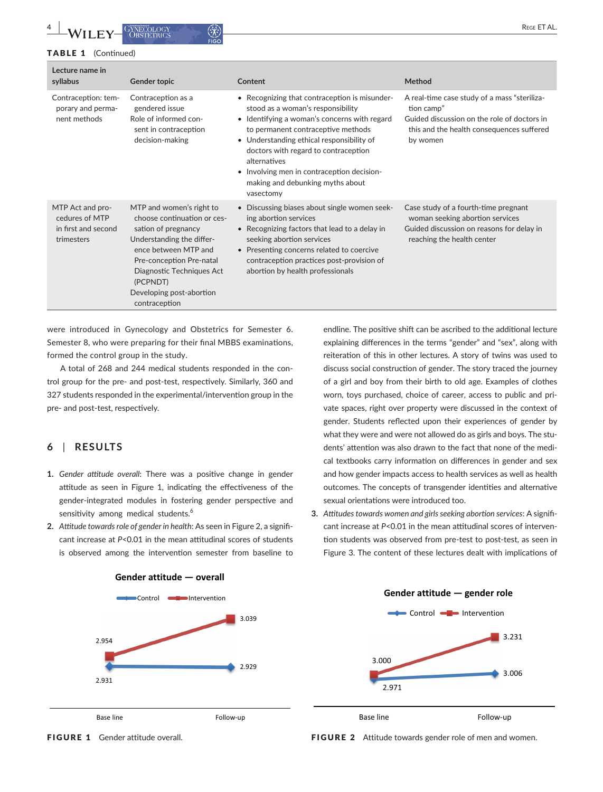**4 b A**/**II EV G**) **EXECUTE AL. CONFIDENT CONFIDENT CONFIDENT CONFIDENT CONFIDENT** 

#### TABLE 1 (Continued)

| Lecture name in<br>syllabus                                             | Gender topic                                                                                                                                                                                                                                          | Content                                                                                                                                                                                                                                                                                                                                                                      | Method                                                                                                                                                             |
|-------------------------------------------------------------------------|-------------------------------------------------------------------------------------------------------------------------------------------------------------------------------------------------------------------------------------------------------|------------------------------------------------------------------------------------------------------------------------------------------------------------------------------------------------------------------------------------------------------------------------------------------------------------------------------------------------------------------------------|--------------------------------------------------------------------------------------------------------------------------------------------------------------------|
| Contraception: tem-<br>porary and perma-<br>nent methods                | Contraception as a<br>gendered issue<br>Role of informed con-<br>sent in contraception<br>decision-making                                                                                                                                             | • Recognizing that contraception is misunder-<br>stood as a woman's responsibility<br>• Identifying a woman's concerns with regard<br>to permanent contraceptive methods<br>• Understanding ethical responsibility of<br>doctors with regard to contraception<br>alternatives<br>• Involving men in contraception decision-<br>making and debunking myths about<br>vasectomy | A real-time case study of a mass "steriliza-<br>tion camp"<br>Guided discussion on the role of doctors in<br>this and the health consequences suffered<br>by women |
| MTP Act and pro-<br>cedures of MTP<br>in first and second<br>trimesters | MTP and women's right to<br>choose continuation or ces-<br>sation of pregnancy<br>Understanding the differ-<br>ence between MTP and<br>Pre-conception Pre-natal<br>Diagnostic Techniques Act<br>(PCPNDT)<br>Developing post-abortion<br>contraception | • Discussing biases about single women seek-<br>ing abortion services<br>• Recognizing factors that lead to a delay in<br>seeking abortion services<br>• Presenting concerns related to coercive<br>contraception practices post-provision of<br>abortion by health professionals                                                                                            | Case study of a fourth-time pregnant<br>woman seeking abortion services<br>Guided discussion on reasons for delay in<br>reaching the health center                 |

were introduced in Gynecology and Obstetrics for Semester 6. Semester 8, who were preparing for their final MBBS examinations, formed the control group in the study.

A total of 268 and 244 medical students responded in the control group for the pre- and post-test, respectively. Similarly, 360 and 327 students responded in the experimental/intervention group in the pre- and post-test, respectively.

# **6** | **RESULTS**

- **1.** *Gender attitude overall*: There was a positive change in gender attitude as seen in Figure 1, indicating the effectiveness of the gender-integrated modules in fostering gender perspective and sensitivity among medical students.<sup>6</sup>
- **2.** *Attitude towards role of gender in health*: As seen in Figure 2, a significant increase at *P*<0.01 in the mean attitudinal scores of students is observed among the intervention semester from baseline to

endline. The positive shift can be ascribed to the additional lecture explaining differences in the terms "gender" and "sex", along with reiteration of this in other lectures. A story of twins was used to discuss social construction of gender. The story traced the journey of a girl and boy from their birth to old age. Examples of clothes worn, toys purchased, choice of career, access to public and private spaces, right over property were discussed in the context of gender. Students reflected upon their experiences of gender by what they were and were not allowed do as girls and boys. The students' attention was also drawn to the fact that none of the medical textbooks carry information on differences in gender and sex and how gender impacts access to health services as well as health outcomes. The concepts of transgender identities and alternative sexual orientations were introduced too.

**3.** *Attitudes towards women and girls seeking abortion services*: A significant increase at *P*<0.01 in the mean attitudinal scores of intervention students was observed from pre-test to post-test, as seen in Figure 3. The content of these lectures dealt with implications of



### FIGURE 1 Gender attitude overall.

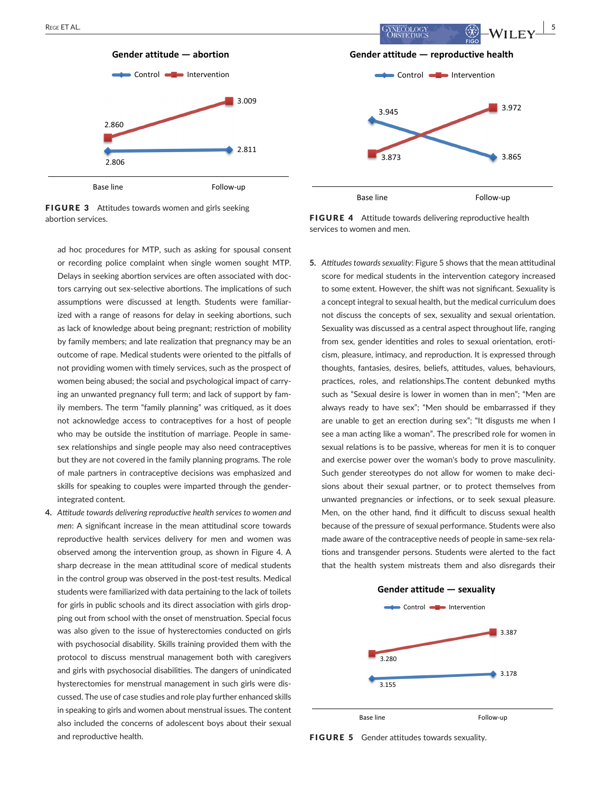

FIGURE 3 Attitudes towards women and girls seeking abortion services.

ad hoc procedures for MTP, such as asking for spousal consent or recording police complaint when single women sought MTP. Delays in seeking abortion services are often associated with doctors carrying out sex-selective abortions. The implications of such assumptions were discussed at length. Students were familiarized with a range of reasons for delay in seeking abortions, such as lack of knowledge about being pregnant; restriction of mobility by family members; and late realization that pregnancy may be an outcome of rape. Medical students were oriented to the pitfalls of not providing women with timely services, such as the prospect of women being abused; the social and psychological impact of carrying an unwanted pregnancy full term; and lack of support by family members. The term "family planning" was critiqued, as it does not acknowledge access to contraceptives for a host of people who may be outside the institution of marriage. People in samesex relationships and single people may also need contraceptives but they are not covered in the family planning programs. The role of male partners in contraceptive decisions was emphasized and skills for speaking to couples were imparted through the genderintegrated content.

**4.** *Attitude towards delivering reproductive health services to women and men*: A significant increase in the mean attitudinal score towards reproductive health services delivery for men and women was observed among the intervention group, as shown in Figure 4. A sharp decrease in the mean attitudinal score of medical students in the control group was observed in the post-test results. Medical students were familiarized with data pertaining to the lack of toilets for girls in public schools and its direct association with girls dropping out from school with the onset of menstruation. Special focus was also given to the issue of hysterectomies conducted on girls with psychosocial disability. Skills training provided them with the protocol to discuss menstrual management both with caregivers and girls with psychosocial disabilities. The dangers of unindicated hysterectomies for menstrual management in such girls were discussed. The use of case studies and role play further enhanced skills in speaking to girls and women about menstrual issues. The content also included the concerns of adolescent boys about their sexual and reproductive health.

FIGURE 4 Attitude towards delivering reproductive health services to women and men.

**5.** *Attitudes towards sexuality*: Figure 5 shows that the mean attitudinal score for medical students in the intervention category increased to some extent. However, the shift was not significant. Sexuality is a concept integral to sexual health, but the medical curriculum does not discuss the concepts of sex, sexuality and sexual orientation. Sexuality was discussed as a central aspect throughout life, ranging from sex, gender identities and roles to sexual orientation, eroticism, pleasure, intimacy, and reproduction. It is expressed through thoughts, fantasies, desires, beliefs, attitudes, values, behaviours, practices, roles, and relationships.The content debunked myths such as "Sexual desire is lower in women than in men"; "Men are always ready to have sex"; "Men should be embarrassed if they are unable to get an erection during sex"; "It disgusts me when I see a man acting like a woman". The prescribed role for women in sexual relations is to be passive, whereas for men it is to conquer and exercise power over the woman's body to prove masculinity. Such gender stereotypes do not allow for women to make decisions about their sexual partner, or to protect themselves from unwanted pregnancies or infections, or to seek sexual pleasure. Men, on the other hand, find it difficult to discuss sexual health because of the pressure of sexual performance. Students were also made aware of the contraceptive needs of people in same-sex relations and transgender persons. Students were alerted to the fact that the health system mistreats them and also disregards their



FIGURE 5 Gender attitudes towards sexuality.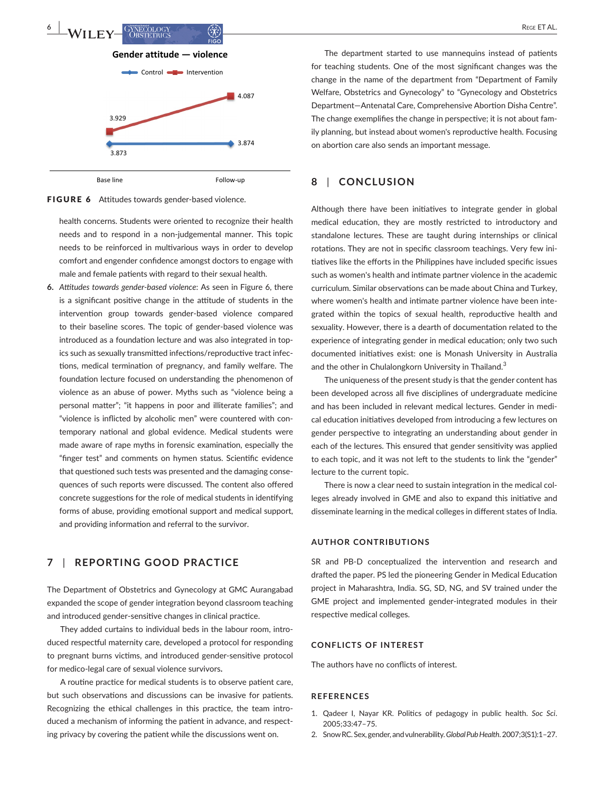

FIGURE 6 Attitudes towards gender-based violence.

health concerns. Students were oriented to recognize their health needs and to respond in a non-judgemental manner. This topic needs to be reinforced in multivarious ways in order to develop comfort and engender confidence amongst doctors to engage with male and female patients with regard to their sexual health.

**6.** *Attitudes towards gender-based violence*: As seen in Figure 6, there is a significant positive change in the attitude of students in the intervention group towards gender-based violence compared to their baseline scores. The topic of gender-based violence was introduced as a foundation lecture and was also integrated in topics such as sexually transmitted infections/reproductive tract infections, medical termination of pregnancy, and family welfare. The foundation lecture focused on understanding the phenomenon of violence as an abuse of power. Myths such as "violence being a personal matter"; "it happens in poor and illiterate families"; and "violence is inflicted by alcoholic men" were countered with contemporary national and global evidence. Medical students were made aware of rape myths in forensic examination, especially the "finger test" and comments on hymen status. Scientific evidence that questioned such tests was presented and the damaging consequences of such reports were discussed. The content also offered concrete suggestions for the role of medical students in identifying forms of abuse, providing emotional support and medical support, and providing information and referral to the survivor.

## **7** | **REPORTING GOOD PRACTICE**

The Department of Obstetrics and Gynecology at GMC Aurangabad expanded the scope of gender integration beyond classroom teaching and introduced gender-sensitive changes in clinical practice.

They added curtains to individual beds in the labour room, introduced respectful maternity care, developed a protocol for responding to pregnant burns victims, and introduced gender-sensitive protocol for medico-legal care of sexual violence survivors**.**

A routine practice for medical students is to observe patient care, but such observations and discussions can be invasive for patients. Recognizing the ethical challenges in this practice, the team introduced a mechanism of informing the patient in advance, and respecting privacy by covering the patient while the discussions went on.

The department started to use mannequins instead of patients for teaching students. One of the most significant changes was the change in the name of the department from "Department of Family Welfare, Obstetrics and Gynecology" to "Gynecology and Obstetrics Department—Antenatal Care, Comprehensive Abortion Disha Centre". The change exemplifies the change in perspective; it is not about family planning, but instead about women's reproductive health. Focusing on abortion care also sends an important message.

## **8** | **CONCLUSION**

Although there have been initiatives to integrate gender in global medical education, they are mostly restricted to introductory and standalone lectures. These are taught during internships or clinical rotations. They are not in specific classroom teachings. Very few initiatives like the efforts in the Philippines have included specific issues such as women's health and intimate partner violence in the academic curriculum. Similar observations can be made about China and Turkey, where women's health and intimate partner violence have been integrated within the topics of sexual health, reproductive health and sexuality. However, there is a dearth of documentation related to the experience of integrating gender in medical education; only two such documented initiatives exist: one is Monash University in Australia and the other in Chulalongkorn University in Thailand.<sup>3</sup>

The uniqueness of the present study is that the gender content has been developed across all five disciplines of undergraduate medicine and has been included in relevant medical lectures. Gender in medical education initiatives developed from introducing a few lectures on gender perspective to integrating an understanding about gender in each of the lectures. This ensured that gender sensitivity was applied to each topic, and it was not left to the students to link the "gender" lecture to the current topic.

There is now a clear need to sustain integration in the medical colleges already involved in GME and also to expand this initiative and disseminate learning in the medical colleges in different states of India.

## **AUTHOR CONTRIBUTIONS**

SR and PB-D conceptualized the intervention and research and drafted the paper. PS led the pioneering Gender in Medical Education project in Maharashtra, India. SG, SD, NG, and SV trained under the GME project and implemented gender-integrated modules in their respective medical colleges.

## **CONFLICTS OF INTEREST**

The authors have no conflicts of interest.

#### **REFERENCES**

- 1. Qadeer I, Nayar KR. Politics of pedagogy in public health. *Soc Sci*. 2005;33:47–75.
- 2. Snow RC. Sex, gender, and vulnerability. *Global Pub Health*. 2007;3(S1):1–27.